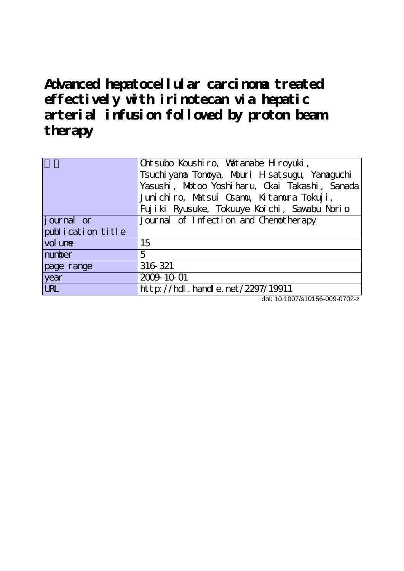Advanced hepatocellular carcinoma treated **effectively with irinotecan via hepatic arterial infusion followed by proton beam therapy**

|                                   | Ont subo Koushi ro, Wat anabe H royuki,         |
|-----------------------------------|-------------------------------------------------|
|                                   | Tsuchi yana Tonoya, Mouri H sat sugu, Yanaguchi |
|                                   | Yasushi, Motoo Yoshiharu, Ckai Takashi, Sanada  |
|                                   | Junichiro, Matsui Osamu, Kitamura Tokuji,       |
|                                   | Fujiki Ryusuke, Tokuuye Koichi, Sawabu Norio    |
| journal or                        | Journal of Infection and Chenotherapy           |
| publication title                 |                                                 |
| vol une                           | 15                                              |
| number                            | 5                                               |
| page range                        | 316 321                                         |
| year                              | 2009-10-01                                      |
| $\overline{\overline{\text{UL}}}$ | http://hdl.handle.net/2297/19911                |

doi: 10.1007/s10156-009-0702-z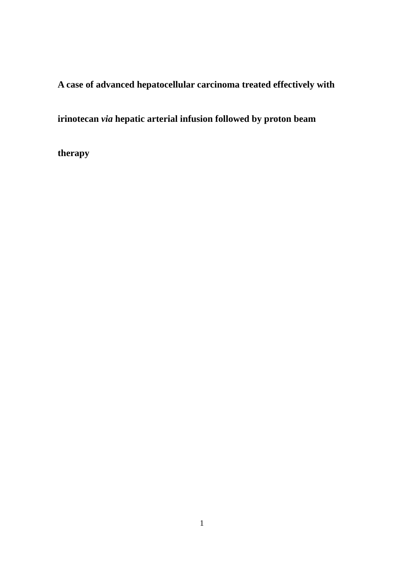**A case of advanced hepatocellular carcinoma treated effectively with** 

**irinotecan** *via* **hepatic arterial infusion followed by proton beam** 

**therapy**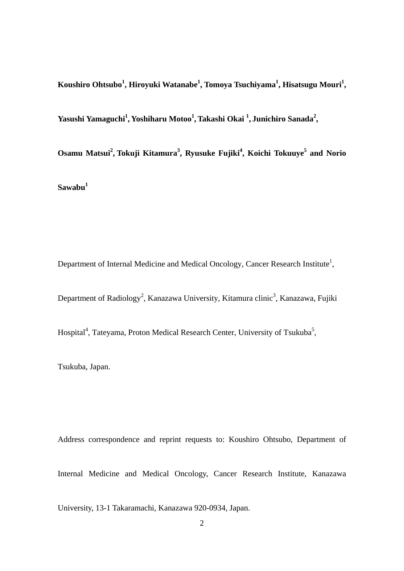**Koushiro Ohtsubo<sup>1</sup> , Hiroyuki Watanabe<sup>1</sup> , Tomoya Tsuchiyama1 , Hisatsugu Mouri1 ,** 

**Yasushi Yamaguchi1 , Yoshiharu Motoo<sup>1</sup> ,Takashi Okai 1 , Junichiro Sanada2 ,** 

Osamu Matsui<sup>2</sup>, Tokuji Kitamura<sup>3</sup>, Ryusuke Fujiki<sup>4</sup>, Koichi Tokuuye<sup>5</sup> and Norio Sawabu<sup>1</sup>

Department of Internal Medicine and Medical Oncology, Cancer Research Institute<sup>1</sup>,

Department of Radiology<sup>2</sup>, Kanazawa University, Kitamura clinic<sup>3</sup>, Kanazawa, Fujiki

Hospital<sup>4</sup>, Tateyama, Proton Medical Research Center, University of Tsukuba<sup>5</sup>,

Tsukuba, Japan.

Address correspondence and reprint requests to: Koushiro Ohtsubo, Department of

Internal Medicine and Medical Oncology, Cancer Research Institute, Kanazawa

University, 13-1 Takaramachi, Kanazawa 920-0934, Japan.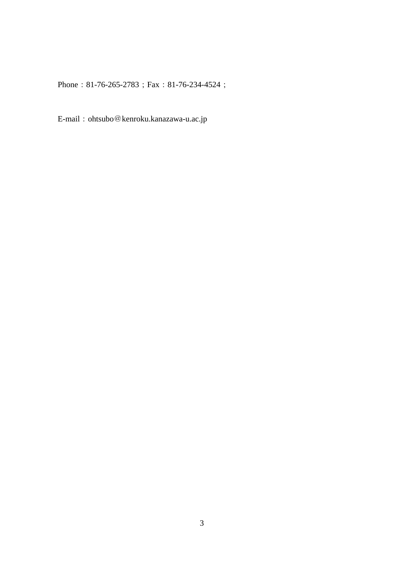Phone: 81-76-265-2783; Fax: 81-76-234-4524;

E-mail: ohtsubo@kenroku.kanazawa-u.ac.jp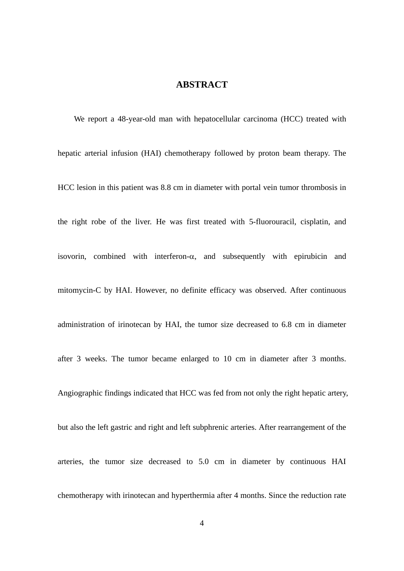# **ABSTRACT**

We report a 48-year-old man with hepatocellular carcinoma (HCC) treated with hepatic arterial infusion (HAI) chemotherapy followed by proton beam therapy. The HCC lesion in this patient was 8.8 cm in diameter with portal vein tumor thrombosis in the right robe of the liver. He was first treated with 5-fluorouracil, cisplatin, and isovorin, combined with interferon- $\alpha$ , and subsequently with epirubicin and mitomycin-C by HAI. However, no definite efficacy was observed. After continuous administration of irinotecan by HAI, the tumor size decreased to 6.8 cm in diameter after 3 weeks. The tumor became enlarged to 10 cm in diameter after 3 months. Angiographic findings indicated that HCC was fed from not only the right hepatic artery, but also the left gastric and right and left subphrenic arteries. After rearrangement of the arteries, the tumor size decreased to 5.0 cm in diameter by continuous HAI chemotherapy with irinotecan and hyperthermia after 4 months. Since the reduction rate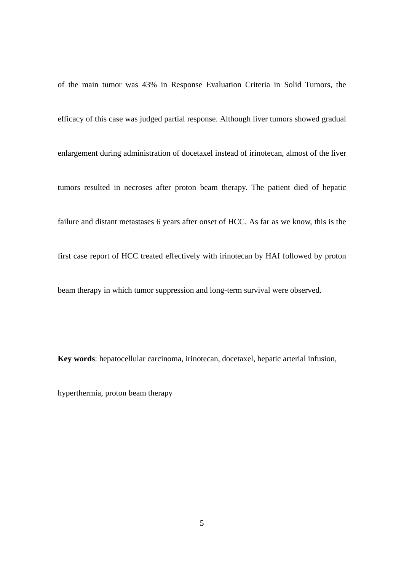of the main tumor was 43% in Response Evaluation Criteria in Solid Tumors, the efficacy of this case was judged partial response. Although liver tumors showed gradual enlargement during administration of docetaxel instead of irinotecan, almost of the liver tumors resulted in necroses after proton beam therapy. The patient died of hepatic failure and distant metastases 6 years after onset of HCC. As far as we know, this is the first case report of HCC treated effectively with irinotecan by HAI followed by proton beam therapy in which tumor suppression and long-term survival were observed.

**Key words**: hepatocellular carcinoma, irinotecan, docetaxel, hepatic arterial infusion,

hyperthermia, proton beam therapy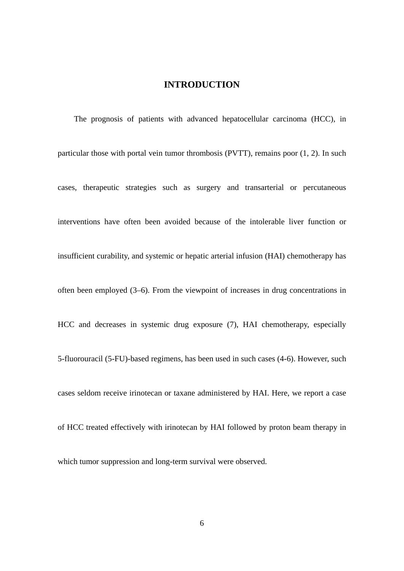## **INTRODUCTION**

The prognosis of patients with advanced hepatocellular carcinoma (HCC), in particular those with portal vein tumor thrombosis (PVTT), remains poor (1, 2). In such cases, therapeutic strategies such as surgery and transarterial or percutaneous interventions have often been avoided because of the intolerable liver function or insufficient curability, and systemic or hepatic arterial infusion (HAI) chemotherapy has often been employed (3–6). From the viewpoint of increases in drug concentrations in HCC and decreases in systemic drug exposure (7), HAI chemotherapy, especially 5-fluorouracil (5-FU)-based regimens, has been used in such cases (4-6). However, such cases seldom receive irinotecan or taxane administered by HAI. Here, we report a case of HCC treated effectively with irinotecan by HAI followed by proton beam therapy in which tumor suppression and long-term survival were observed.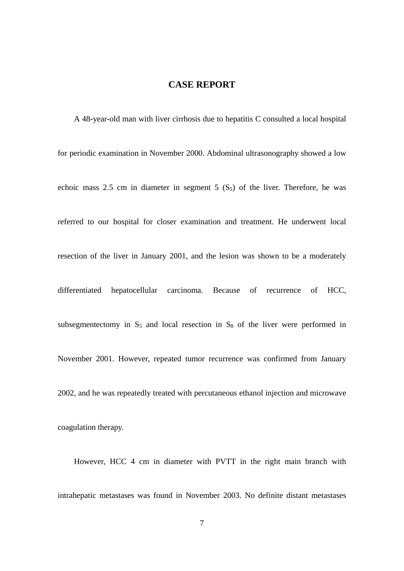## **CASE REPORT**

A 48-year-old man with liver cirrhosis due to hepatitis C consulted a local hospital for periodic examination in November 2000. Abdominal ultrasonography showed a low echoic mass 2.5 cm in diameter in segment 5  $(S_5)$  of the liver. Therefore, he was referred to our hospital for closer examination and treatment. He underwent local resection of the liver in January 2001, and the lesion was shown to be a moderately differentiated hepatocellular carcinoma. Because of recurrence of HCC, subsegmentectomy in  $S_5$  and local resection in  $S_8$  of the liver were performed in November 2001. However, repeated tumor recurrence was confirmed from January 2002, and he was repeatedly treated with percutaneous ethanol injection and microwave coagulation therapy.

intrahepatic metastases was found in November 2003. No definite distant metastases

However, HCC 4 cm in diameter with PVTT in the right main branch with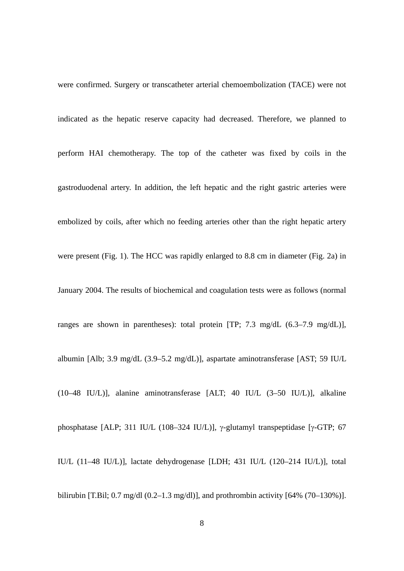were confirmed. Surgery or transcatheter arterial chemoembolization (TACE) were not indicated as the hepatic reserve capacity had decreased. Therefore, we planned to perform HAI chemotherapy. The top of the catheter was fixed by coils in the gastroduodenal artery. In addition, the left hepatic and the right gastric arteries were embolized by coils, after which no feeding arteries other than the right hepatic artery were present (Fig. 1). The HCC was rapidly enlarged to 8.8 cm in diameter (Fig. 2a) in January 2004. The results of biochemical and coagulation tests were as follows (normal ranges are shown in parentheses): total protein [TP; 7.3 mg/dL (6.3–7.9 mg/dL)], albumin [Alb; 3.9 mg/dL (3.9–5.2 mg/dL)], aspartate aminotransferase [AST; 59 IU/L (10–48 IU/L)], alanine aminotransferase [ALT; 40 IU/L (3–50 IU/L)], alkaline

phosphatase [ALP; 311 IU/L (108–324 IU/L)], γ-glutamyl transpeptidase [γ-GTP; 67

IU/L (11–48 IU/L)], lactate dehydrogenase [LDH; 431 IU/L (120–214 IU/L)], total

bilirubin [T.Bil; 0.7 mg/dl (0.2–1.3 mg/dl)], and prothrombin activity  $[64\% (70-130\%)]$ .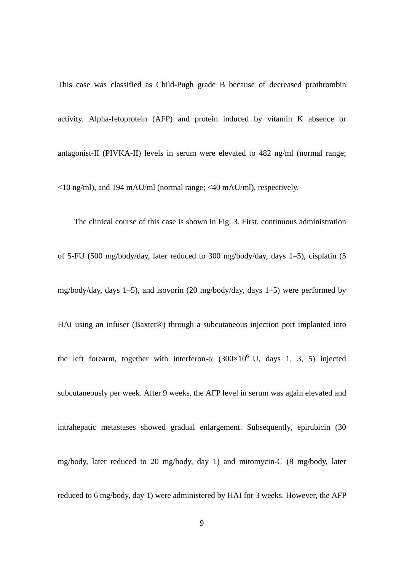This case was classified as Child-Pugh grade B because of decreased prothrombin activity. Alpha-fetoprotein (AFP) and protein induced by vitamin K absence or antagonist-II (PIVKA-II) levels in serum were elevated to 482 ng/ml (normal range; <10 ng/ml), and 194 mAU/ml (normal range; <40 mAU/ml), respectively.

The clinical course of this case is shown in Fig. 3. First, continuous administration of 5-FU (500 mg/body/day, later reduced to 300 mg/body/day, days 1–5), cisplatin (5 mg/body/day, days 1–5), and isovorin (20 mg/body/day, days 1–5) were performed by

HAI using an infuser (Baxter®) through a subcutaneous injection port implanted into

the left forearm, together with interferon- $\alpha$  (300×10<sup>6</sup> U, days 1, 3, 5) injected

subcutaneously per week. After 9 weeks, the AFP level in serum was again elevated and

intrahepatic metastases showed gradual enlargement. Subsequently, epirubicin (30

mg/body, later reduced to 20 mg/body, day 1) and mitomycin-C (8 mg/body, later

reduced to 6 mg/body, day 1) were administered by HAI for 3 weeks. However, the AFP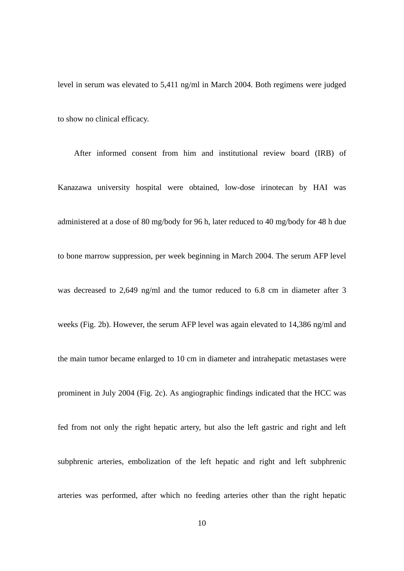level in serum was elevated to 5,411 ng/ml in March 2004. Both regimens were judged to show no clinical efficacy.

After informed consent from him and institutional review board (IRB) of Kanazawa university hospital were obtained, low-dose irinotecan by HAI was administered at a dose of 80 mg/body for 96 h, later reduced to 40 mg/body for 48 h due to bone marrow suppression, per week beginning in March 2004. The serum AFP level was decreased to 2,649 ng/ml and the tumor reduced to 6.8 cm in diameter after 3 weeks (Fig. 2b). However, the serum AFP level was again elevated to 14,386 ng/ml and the main tumor became enlarged to 10 cm in diameter and intrahepatic metastases were prominent in July 2004 (Fig. 2c). As angiographic findings indicated that the HCC was fed from not only the right hepatic artery, but also the left gastric and right and left subphrenic arteries, embolization of the left hepatic and right and left subphrenic

arteries was performed, after which no feeding arteries other than the right hepatic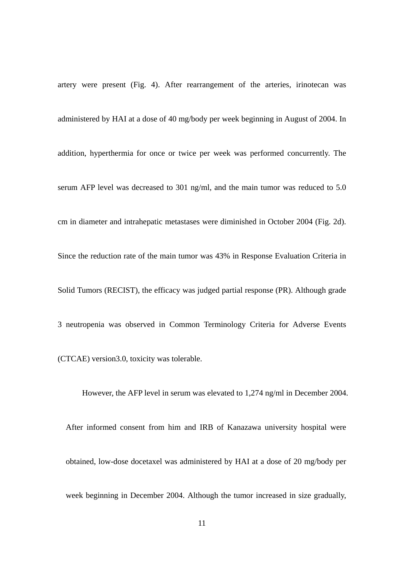artery were present (Fig. 4). After rearrangement of the arteries, irinotecan was administered by HAI at a dose of 40 mg/body per week beginning in August of 2004. In addition, hyperthermia for once or twice per week was performed concurrently. The serum AFP level was decreased to 301 ng/ml, and the main tumor was reduced to 5.0 cm in diameter and intrahepatic metastases were diminished in October 2004 (Fig. 2d). Since the reduction rate of the main tumor was 43% in Response Evaluation Criteria in Solid Tumors (RECIST), the efficacy was judged partial response (PR). Although grade 3 neutropenia was observed in Common Terminology Criteria for Adverse Events (CTCAE) version3.0, toxicity was tolerable.

However, the AFP level in serum was elevated to 1,274 ng/ml in December 2004.

After informed consent from him and IRB of Kanazawa university hospital were obtained, low-dose docetaxel was administered by HAI at a dose of 20 mg/body per week beginning in December 2004. Although the tumor increased in size gradually,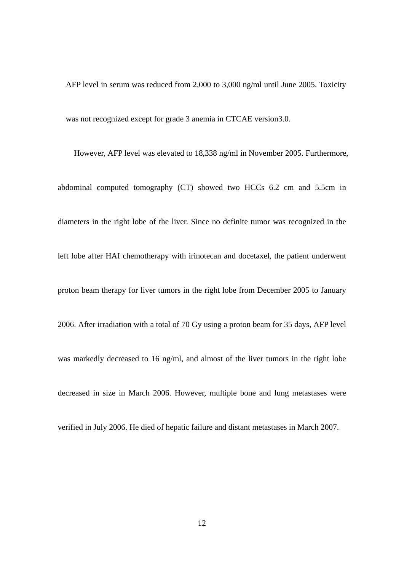AFP level in serum was reduced from 2,000 to 3,000 ng/ml until June 2005. Toxicity was not recognized except for grade 3 anemia in CTCAE version3.0.

However, AFP level was elevated to 18,338 ng/ml in November 2005. Furthermore, abdominal computed tomography (CT) showed two HCCs 6.2 cm and 5.5cm in diameters in the right lobe of the liver. Since no definite tumor was recognized in the left lobe after HAI chemotherapy with irinotecan and docetaxel, the patient underwent proton beam therapy for liver tumors in the right lobe from December 2005 to January 2006. After irradiation with a total of 70 Gy using a proton beam for 35 days, AFP level was markedly decreased to 16 ng/ml, and almost of the liver tumors in the right lobe decreased in size in March 2006. However, multiple bone and lung metastases were verified in July 2006. He died of hepatic failure and distant metastases in March 2007.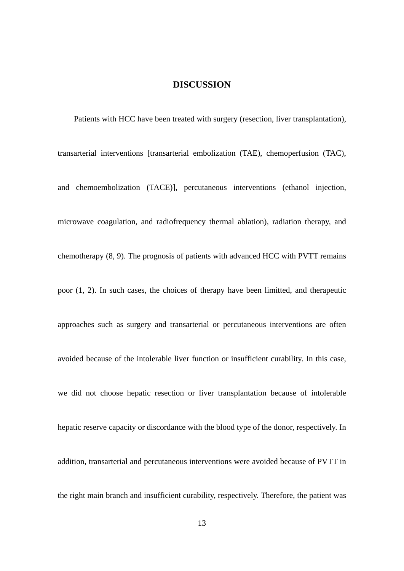## **DISCUSSION**

Patients with HCC have been treated with surgery (resection, liver transplantation),

transarterial interventions [transarterial embolization (TAE), chemoperfusion (TAC), and chemoembolization (TACE)], percutaneous interventions (ethanol injection, microwave coagulation, and radiofrequency thermal ablation), radiation therapy, and chemotherapy (8, 9). The prognosis of patients with advanced HCC with PVTT remains poor (1, 2). In such cases, the choices of therapy have been limitted, and therapeutic approaches such as surgery and transarterial or percutaneous interventions are often avoided because of the intolerable liver function or insufficient curability. In this case, we did not choose hepatic resection or liver transplantation because of intolerable hepatic reserve capacity or discordance with the blood type of the donor, respectively. In

addition, transarterial and percutaneous interventions were avoided because of PVTT in

the right main branch and insufficient curability, respectively. Therefore, the patient was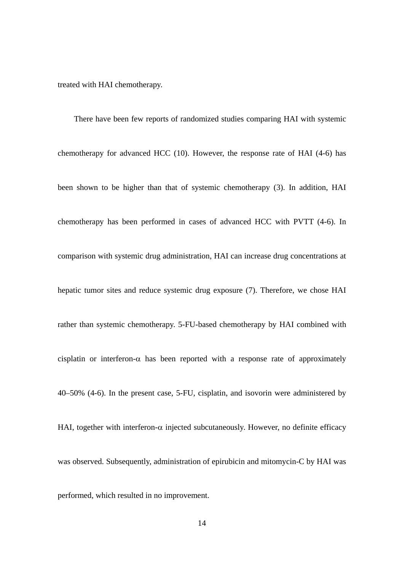treated with HAI chemotherapy.

There have been few reports of randomized studies comparing HAI with systemic chemotherapy for advanced HCC (10). However, the response rate of HAI (4-6) has been shown to be higher than that of systemic chemotherapy (3). In addition, HAI chemotherapy has been performed in cases of advanced HCC with PVTT (4-6). In comparison with systemic drug administration, HAI can increase drug concentrations at hepatic tumor sites and reduce systemic drug exposure (7). Therefore, we chose HAI rather than systemic chemotherapy. 5-FU-based chemotherapy by HAI combined with cisplatin or interferon- $\alpha$  has been reported with a response rate of approximately 40–50% (4-6). In the present case, 5-FU, cisplatin, and isovorin were administered by HAI, together with interferon- $\alpha$  injected subcutaneously. However, no definite efficacy was observed. Subsequently, administration of epirubicin and mitomycin-C by HAI was performed, which resulted in no improvement.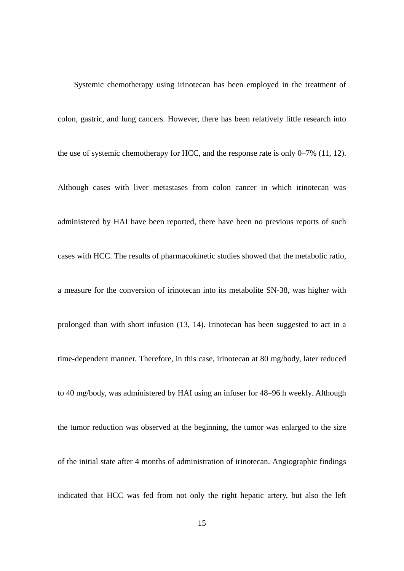Systemic chemotherapy using irinotecan has been employed in the treatment of colon, gastric, and lung cancers. However, there has been relatively little research into the use of systemic chemotherapy for HCC, and the response rate is only 0–7% (11, 12). Although cases with liver metastases from colon cancer in which irinotecan was administered by HAI have been reported, there have been no previous reports of such cases with HCC. The results of pharmacokinetic studies showed that the metabolic ratio, a measure for the conversion of irinotecan into its metabolite SN-38, was higher with prolonged than with short infusion (13, 14). Irinotecan has been suggested to act in a time-dependent manner. Therefore, in this case, irinotecan at 80 mg/body, later reduced to 40 mg/body, was administered by HAI using an infuser for 48–96 h weekly. Although the tumor reduction was observed at the beginning, the tumor was enlarged to the size of the initial state after 4 months of administration of irinotecan. Angiographic findings indicated that HCC was fed from not only the right hepatic artery, but also the left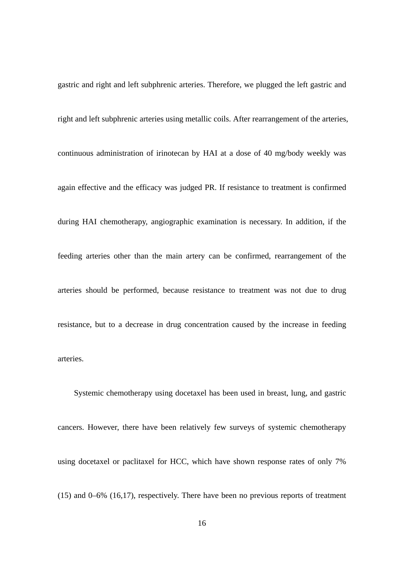gastric and right and left subphrenic arteries. Therefore, we plugged the left gastric and right and left subphrenic arteries using metallic coils. After rearrangement of the arteries, continuous administration of irinotecan by HAI at a dose of 40 mg/body weekly was again effective and the efficacy was judged PR. If resistance to treatment is confirmed during HAI chemotherapy, angiographic examination is necessary. In addition, if the feeding arteries other than the main artery can be confirmed, rearrangement of the arteries should be performed, because resistance to treatment was not due to drug resistance, but to a decrease in drug concentration caused by the increase in feeding arteries.

Systemic chemotherapy using docetaxel has been used in breast, lung, and gastric cancers. However, there have been relatively few surveys of systemic chemotherapy using docetaxel or paclitaxel for HCC, which have shown response rates of only 7% (15) and 0–6% (16,17), respectively. There have been no previous reports of treatment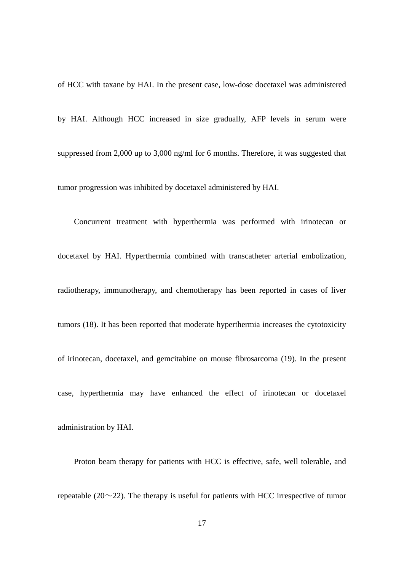of HCC with taxane by HAI. In the present case, low-dose docetaxel was administered by HAI. Although HCC increased in size gradually, AFP levels in serum were suppressed from 2,000 up to 3,000 ng/ml for 6 months. Therefore, it was suggested that tumor progression was inhibited by docetaxel administered by HAI.

Concurrent treatment with hyperthermia was performed with irinotecan or docetaxel by HAI. Hyperthermia combined with transcatheter arterial embolization, radiotherapy, immunotherapy, and chemotherapy has been reported in cases of liver tumors (18). It has been reported that moderate hyperthermia increases the cytotoxicity of irinotecan, docetaxel, and gemcitabine on mouse fibrosarcoma (19). In the present case, hyperthermia may have enhanced the effect of irinotecan or docetaxel

administration by HAI.

Proton beam therapy for patients with HCC is effective, safe, well tolerable, and repeatable ( $20\sim 22$ ). The therapy is useful for patients with HCC irrespective of tumor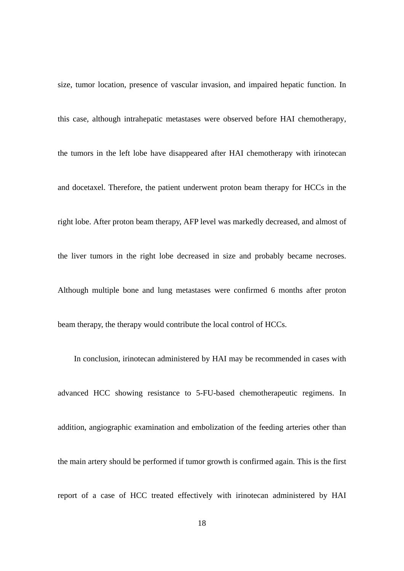size, tumor location, presence of vascular invasion, and impaired hepatic function. In this case, although intrahepatic metastases were observed before HAI chemotherapy, the tumors in the left lobe have disappeared after HAI chemotherapy with irinotecan and docetaxel. Therefore, the patient underwent proton beam therapy for HCCs in the right lobe. After proton beam therapy, AFP level was markedly decreased, and almost of the liver tumors in the right lobe decreased in size and probably became necroses. Although multiple bone and lung metastases were confirmed 6 months after proton beam therapy, the therapy would contribute the local control of HCCs.

In conclusion, irinotecan administered by HAI may be recommended in cases with advanced HCC showing resistance to 5-FU-based chemotherapeutic regimens. In addition, angiographic examination and embolization of the feeding arteries other than the main artery should be performed if tumor growth is confirmed again. This is the first report of a case of HCC treated effectively with irinotecan administered by HAI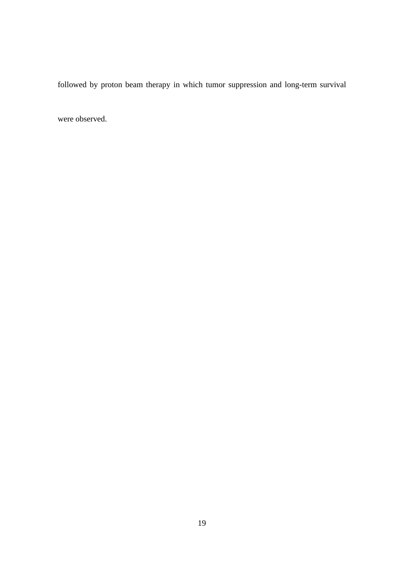followed by proton beam therapy in which tumor suppression and long-term survival

were observed.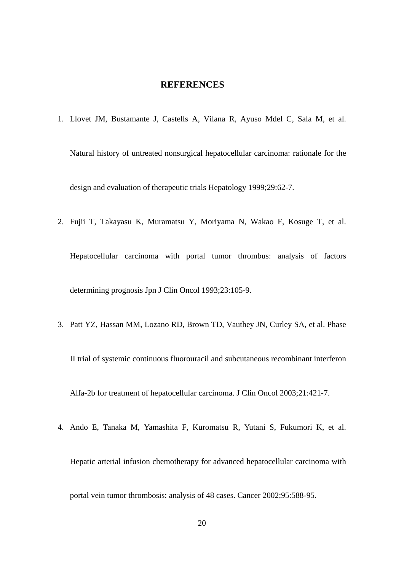#### **REFERENCES**

1. [Llovet JM, Bustamante J, Castells A, Vilana R, Ayuso Mdel C, Sala M, et al.](http://www.ncbi.nlm.nih.gov/pubmed/9862851?ordinalpos=43&itool=EntrezSystem2.PEntrez.Pubmed.Pubmed_ResultsPanel.Pubmed_RVDocSum)

Natural history of untreated nonsurgical hepatocellular carcinoma: rationale for the design and evaluation of therapeutic trials Hepatology 1999;29:62-7.

2. [Fujii T, Takayasu K, Muramatsu Y, Moriyama N, Wakao F, Kosuge T, et al.](http://www.ncbi.nlm.nih.gov/pubmed/8390584?ordinalpos=59&itool=EntrezSystem2.PEntrez.Pubmed.Pubmed_ResultsPanel.Pubmed_RVDocSum)

Hepatocellular carcinoma with portal tumor thrombus: analysis of factors determining prognosis Jpn J Clin Oncol 1993;23:105-9.

3. [Patt YZ, Hassan MM, Lozano RD, Brown TD, Vauthey JN, Curley SA, et al.](http://www.ncbi.nlm.nih.gov/pubmed/12560429?ordinalpos=6&itool=EntrezSystem2.PEntrez.Pubmed.Pubmed_ResultsPanel.Pubmed_RVDocSum) Phase

II trial of systemic continuous fluorouracil and subcutaneous recombinant interferon

Alfa-2b for treatment of hepatocellular carcinoma. J Clin Oncol 2003;21:421-7.

4. [Ando E,](http://www.ncbi.nlm.nih.gov/sites/entrez?Db=pubmed&Cmd=Search&Term=%22Ando%20E%22%5BAuthor%5D&itool=EntrezSystem2.PEntrez.Pubmed.Pubmed_ResultsPanel.Pubmed_DiscoveryPanel.Pubmed_RVAbstractPlus) [Tanaka M](http://www.ncbi.nlm.nih.gov/sites/entrez?Db=pubmed&Cmd=Search&Term=%22Tanaka%20M%22%5BAuthor%5D&itool=EntrezSystem2.PEntrez.Pubmed.Pubmed_ResultsPanel.Pubmed_DiscoveryPanel.Pubmed_RVAbstractPlus), [Yamashita F,](http://www.ncbi.nlm.nih.gov/sites/entrez?Db=pubmed&Cmd=Search&Term=%22Yamashita%20F%22%5BAuthor%5D&itool=EntrezSystem2.PEntrez.Pubmed.Pubmed_ResultsPanel.Pubmed_DiscoveryPanel.Pubmed_RVAbstractPlus) [Kuromatsu R](http://www.ncbi.nlm.nih.gov/sites/entrez?Db=pubmed&Cmd=Search&Term=%22Kuromatsu%20R%22%5BAuthor%5D&itool=EntrezSystem2.PEntrez.Pubmed.Pubmed_ResultsPanel.Pubmed_DiscoveryPanel.Pubmed_RVAbstractPlus), [Yutani S](http://www.ncbi.nlm.nih.gov/sites/entrez?Db=pubmed&Cmd=Search&Term=%22Yutani%20S%22%5BAuthor%5D&itool=EntrezSystem2.PEntrez.Pubmed.Pubmed_ResultsPanel.Pubmed_DiscoveryPanel.Pubmed_RVAbstractPlus), [Fukumori K,](http://www.ncbi.nlm.nih.gov/sites/entrez?Db=pubmed&Cmd=Search&Term=%22Fukumori%20K%22%5BAuthor%5D&itool=EntrezSystem2.PEntrez.Pubmed.Pubmed_ResultsPanel.Pubmed_DiscoveryPanel.Pubmed_RVAbstractPlus) et al.

Hepatic arterial infusion chemotherapy for advanced hepatocellular carcinoma with

portal vein tumor thrombosis: analysis of 48 cases. Cancer 2002;95:588-95.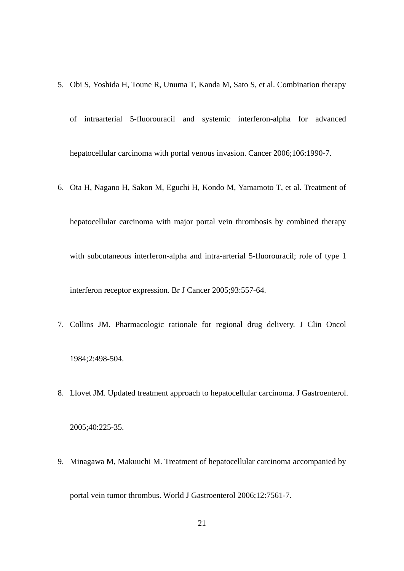- 5. [Obi S,](http://www.ncbi.nlm.nih.gov/sites/entrez?Db=pubmed&Cmd=Search&Term=%22Obi%20S%22%5BAuthor%5D&itool=EntrezSystem2.PEntrez.Pubmed.Pubmed_ResultsPanel.Pubmed_DiscoveryPanel.Pubmed_RVAbstractPlus) [Yoshida H](http://www.ncbi.nlm.nih.gov/sites/entrez?Db=pubmed&Cmd=Search&Term=%22Yoshida%20H%22%5BAuthor%5D&itool=EntrezSystem2.PEntrez.Pubmed.Pubmed_ResultsPanel.Pubmed_DiscoveryPanel.Pubmed_RVAbstractPlus), [Toune R,](http://www.ncbi.nlm.nih.gov/sites/entrez?Db=pubmed&Cmd=Search&Term=%22Toune%20R%22%5BAuthor%5D&itool=EntrezSystem2.PEntrez.Pubmed.Pubmed_ResultsPanel.Pubmed_DiscoveryPanel.Pubmed_RVAbstractPlus) [Unuma T,](http://www.ncbi.nlm.nih.gov/sites/entrez?Db=pubmed&Cmd=Search&Term=%22Unuma%20T%22%5BAuthor%5D&itool=EntrezSystem2.PEntrez.Pubmed.Pubmed_ResultsPanel.Pubmed_DiscoveryPanel.Pubmed_RVAbstractPlus) [Kanda M](http://www.ncbi.nlm.nih.gov/sites/entrez?Db=pubmed&Cmd=Search&Term=%22Kanda%20M%22%5BAuthor%5D&itool=EntrezSystem2.PEntrez.Pubmed.Pubmed_ResultsPanel.Pubmed_DiscoveryPanel.Pubmed_RVAbstractPlus), [Sato S,](http://www.ncbi.nlm.nih.gov/sites/entrez?Db=pubmed&Cmd=Search&Term=%22Sato%20S%22%5BAuthor%5D&itool=EntrezSystem2.PEntrez.Pubmed.Pubmed_ResultsPanel.Pubmed_DiscoveryPanel.Pubmed_RVAbstractPlus) et al. Combination therapy
	- of intraarterial 5-fluorouracil and systemic interferon-alpha for advanced hepatocellular carcinoma with portal venous invasion. Cancer 2006;106:1990-7.
- 6. [Ota H,](http://www.ncbi.nlm.nih.gov/sites/entrez?Db=pubmed&Cmd=Search&Term=%22Ota%20H%22%5BAuthor%5D&itool=EntrezSystem2.PEntrez.Pubmed.Pubmed_ResultsPanel.Pubmed_DiscoveryPanel.Pubmed_RVAbstractPlus) [Nagano H](http://www.ncbi.nlm.nih.gov/sites/entrez?Db=pubmed&Cmd=Search&Term=%22Nagano%20H%22%5BAuthor%5D&itool=EntrezSystem2.PEntrez.Pubmed.Pubmed_ResultsPanel.Pubmed_DiscoveryPanel.Pubmed_RVAbstractPlus), [Sakon M,](http://www.ncbi.nlm.nih.gov/sites/entrez?Db=pubmed&Cmd=Search&Term=%22Sakon%20M%22%5BAuthor%5D&itool=EntrezSystem2.PEntrez.Pubmed.Pubmed_ResultsPanel.Pubmed_DiscoveryPanel.Pubmed_RVAbstractPlus) [Eguchi H,](http://www.ncbi.nlm.nih.gov/sites/entrez?Db=pubmed&Cmd=Search&Term=%22Eguchi%20H%22%5BAuthor%5D&itool=EntrezSystem2.PEntrez.Pubmed.Pubmed_ResultsPanel.Pubmed_DiscoveryPanel.Pubmed_RVAbstractPlus) [Kondo M,](http://www.ncbi.nlm.nih.gov/sites/entrez?Db=pubmed&Cmd=Search&Term=%22Kondo%20M%22%5BAuthor%5D&itool=EntrezSystem2.PEntrez.Pubmed.Pubmed_ResultsPanel.Pubmed_DiscoveryPanel.Pubmed_RVAbstractPlus) [Yamamoto T](http://www.ncbi.nlm.nih.gov/sites/entrez?Db=pubmed&Cmd=Search&Term=%22Yamamoto%20T%22%5BAuthor%5D&itool=EntrezSystem2.PEntrez.Pubmed.Pubmed_ResultsPanel.Pubmed_DiscoveryPanel.Pubmed_RVAbstractPlus), et al. Treatment of hepatocellular carcinoma with major portal vein thrombosis by combined therapy with subcutaneous interferon-alpha and intra-arterial 5-fluorouracil; role of type 1 interferon receptor expression. Br J Cancer 2005;93:557-64.
- 7. [Collins JM.](http://www.ncbi.nlm.nih.gov/sites/entrez?Db=pubmed&Cmd=Search&Term=%22Collins%20JM%22%5BAuthor%5D&itool=EntrezSystem2.PEntrez.Pubmed.Pubmed_ResultsPanel.Pubmed_DiscoveryPanel.Pubmed_RVAbstractPlus) Pharmacologic rationale for regional drug delivery. J Clin Oncol 1984;2:498-504.
- 8. [Llovet JM.](http://www.ncbi.nlm.nih.gov/pubmed/15830281?ordinalpos=35&itool=EntrezSystem2.PEntrez.Pubmed.Pubmed_ResultsPanel.Pubmed_RVDocSum) Updated treatment approach to hepatocellular carcinoma. J Gastroenterol.

2005;40:225-35.

9. [Minagawa M,](http://www.ncbi.nlm.nih.gov/sites/entrez?Db=pubmed&Cmd=Search&Term=%22Minagawa%20M%22%5BAuthor%5D&itool=EntrezSystem2.PEntrez.Pubmed.Pubmed_ResultsPanel.Pubmed_DiscoveryPanel.Pubmed_RVAbstractPlus) [Makuuchi M](http://www.ncbi.nlm.nih.gov/sites/entrez?Db=pubmed&Cmd=Search&Term=%22Makuuchi%20M%22%5BAuthor%5D&itool=EntrezSystem2.PEntrez.Pubmed.Pubmed_ResultsPanel.Pubmed_DiscoveryPanel.Pubmed_RVAbstractPlus). Treatment of hepatocellular carcinoma accompanied by portal vein tumor thrombus. World J Gastroenterol 2006;12:7561-7.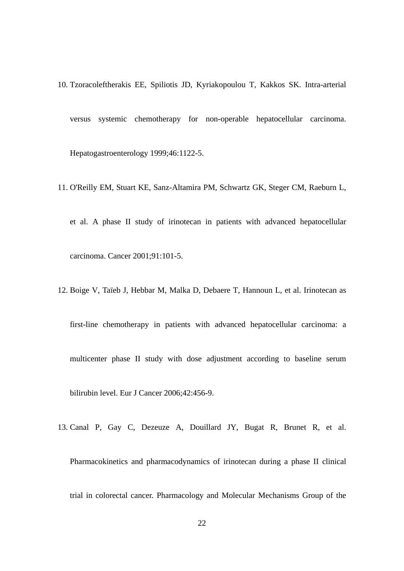- 10. [Tzoracoleftherakis EE](http://www.ncbi.nlm.nih.gov/sites/entrez?Db=pubmed&Cmd=Search&Term=%22Tzoracoleftherakis%20EE%22%5BAuthor%5D&itool=EntrezSystem2.PEntrez.Pubmed.Pubmed_ResultsPanel.Pubmed_DiscoveryPanel.Pubmed_RVAbstractPlus), [Spiliotis JD,](http://www.ncbi.nlm.nih.gov/sites/entrez?Db=pubmed&Cmd=Search&Term=%22Spiliotis%20JD%22%5BAuthor%5D&itool=EntrezSystem2.PEntrez.Pubmed.Pubmed_ResultsPanel.Pubmed_DiscoveryPanel.Pubmed_RVAbstractPlus) [Kyriakopoulou T,](http://www.ncbi.nlm.nih.gov/sites/entrez?Db=pubmed&Cmd=Search&Term=%22Kyriakopoulou%20T%22%5BAuthor%5D&itool=EntrezSystem2.PEntrez.Pubmed.Pubmed_ResultsPanel.Pubmed_DiscoveryPanel.Pubmed_RVAbstractPlus) [Kakkos SK](http://www.ncbi.nlm.nih.gov/sites/entrez?Db=pubmed&Cmd=Search&Term=%22Kakkos%20SK%22%5BAuthor%5D&itool=EntrezSystem2.PEntrez.Pubmed.Pubmed_ResultsPanel.Pubmed_DiscoveryPanel.Pubmed_RVAbstractPlus). Intra-arterial versus systemic chemotherapy for non-operable hepatocellular carcinoma. Hepatogastroenterology 1999;46:1122-5.
- 11. [O'Reilly EM,](http://www.ncbi.nlm.nih.gov/sites/entrez?Db=pubmed&Cmd=Search&Term=%22O) [Stuart KE](http://www.ncbi.nlm.nih.gov/sites/entrez?Db=pubmed&Cmd=Search&Term=%22Stuart%20KE%22%5BAuthor%5D&itool=EntrezSystem2.PEntrez.Pubmed.Pubmed_ResultsPanel.Pubmed_DiscoveryPanel.Pubmed_RVAbstractPlus), [Sanz-Altamira PM](http://www.ncbi.nlm.nih.gov/sites/entrez?Db=pubmed&Cmd=Search&Term=%22Sanz-Altamira%20PM%22%5BAuthor%5D&itool=EntrezSystem2.PEntrez.Pubmed.Pubmed_ResultsPanel.Pubmed_DiscoveryPanel.Pubmed_RVAbstractPlus), [Schwartz GK](http://www.ncbi.nlm.nih.gov/sites/entrez?Db=pubmed&Cmd=Search&Term=%22Schwartz%20GK%22%5BAuthor%5D&itool=EntrezSystem2.PEntrez.Pubmed.Pubmed_ResultsPanel.Pubmed_DiscoveryPanel.Pubmed_RVAbstractPlus), [Steger CM,](http://www.ncbi.nlm.nih.gov/sites/entrez?Db=pubmed&Cmd=Search&Term=%22Steger%20CM%22%5BAuthor%5D&itool=EntrezSystem2.PEntrez.Pubmed.Pubmed_ResultsPanel.Pubmed_DiscoveryPanel.Pubmed_RVAbstractPlus) [Raeburn L](http://www.ncbi.nlm.nih.gov/sites/entrez?Db=pubmed&Cmd=Search&Term=%22Raeburn%20L%22%5BAuthor%5D&itool=EntrezSystem2.PEntrez.Pubmed.Pubmed_ResultsPanel.Pubmed_DiscoveryPanel.Pubmed_RVAbstractPlus),
	- et al. A phase II study of irinotecan in patients with advanced hepatocellular carcinoma. Cancer 2001;91:101-5.
- 12. [Boige V](http://www.ncbi.nlm.nih.gov/sites/entrez?Db=pubmed&Cmd=Search&Term=%22Boige%20V%22%5BAuthor%5D&itool=EntrezSystem2.PEntrez.Pubmed.Pubmed_ResultsPanel.Pubmed_DiscoveryPanel.Pubmed_RVAbstractPlus), [Taïeb J](http://www.ncbi.nlm.nih.gov/sites/entrez?Db=pubmed&Cmd=Search&Term=%22Ta%C3%AFeb%20J%22%5BAuthor%5D&itool=EntrezSystem2.PEntrez.Pubmed.Pubmed_ResultsPanel.Pubmed_DiscoveryPanel.Pubmed_RVAbstractPlus), [Hebbar M,](http://www.ncbi.nlm.nih.gov/sites/entrez?Db=pubmed&Cmd=Search&Term=%22Hebbar%20M%22%5BAuthor%5D&itool=EntrezSystem2.PEntrez.Pubmed.Pubmed_ResultsPanel.Pubmed_DiscoveryPanel.Pubmed_RVAbstractPlus) [Malka D,](http://www.ncbi.nlm.nih.gov/sites/entrez?Db=pubmed&Cmd=Search&Term=%22Malka%20D%22%5BAuthor%5D&itool=EntrezSystem2.PEntrez.Pubmed.Pubmed_ResultsPanel.Pubmed_DiscoveryPanel.Pubmed_RVAbstractPlus) [Debaere T,](http://www.ncbi.nlm.nih.gov/sites/entrez?Db=pubmed&Cmd=Search&Term=%22Debaere%20T%22%5BAuthor%5D&itool=EntrezSystem2.PEntrez.Pubmed.Pubmed_ResultsPanel.Pubmed_DiscoveryPanel.Pubmed_RVAbstractPlus) [Hannoun L,](http://www.ncbi.nlm.nih.gov/sites/entrez?Db=pubmed&Cmd=Search&Term=%22Hannoun%20L%22%5BAuthor%5D&itool=EntrezSystem2.PEntrez.Pubmed.Pubmed_ResultsPanel.Pubmed_DiscoveryPanel.Pubmed_RVAbstractPlus) et al. Irinotecan as first-line chemotherapy in patients with advanced hepatocellular carcinoma: a multicenter phase II study with dose adjustment according to baseline serum bilirubin level. Eur J Cancer 2006;42:456-9.
- 13. [Canal P,](http://www.ncbi.nlm.nih.gov/sites/entrez?Db=pubmed&Cmd=Search&Term=%22Canal%20P%22%5BAuthor%5D&itool=EntrezSystem2.PEntrez.Pubmed.Pubmed_ResultsPanel.Pubmed_DiscoveryPanel.Pubmed_RVAbstractPlus) [Gay C](http://www.ncbi.nlm.nih.gov/sites/entrez?Db=pubmed&Cmd=Search&Term=%22Gay%20C%22%5BAuthor%5D&itool=EntrezSystem2.PEntrez.Pubmed.Pubmed_ResultsPanel.Pubmed_DiscoveryPanel.Pubmed_RVAbstractPlus), [Dezeuze A,](http://www.ncbi.nlm.nih.gov/sites/entrez?Db=pubmed&Cmd=Search&Term=%22Dezeuze%20A%22%5BAuthor%5D&itool=EntrezSystem2.PEntrez.Pubmed.Pubmed_ResultsPanel.Pubmed_DiscoveryPanel.Pubmed_RVAbstractPlus) [Douillard JY](http://www.ncbi.nlm.nih.gov/sites/entrez?Db=pubmed&Cmd=Search&Term=%22Douillard%20JY%22%5BAuthor%5D&itool=EntrezSystem2.PEntrez.Pubmed.Pubmed_ResultsPanel.Pubmed_DiscoveryPanel.Pubmed_RVAbstractPlus), [Bugat R,](http://www.ncbi.nlm.nih.gov/sites/entrez?Db=pubmed&Cmd=Search&Term=%22Bugat%20R%22%5BAuthor%5D&itool=EntrezSystem2.PEntrez.Pubmed.Pubmed_ResultsPanel.Pubmed_DiscoveryPanel.Pubmed_RVAbstractPlus) [Brunet R,](http://www.ncbi.nlm.nih.gov/sites/entrez?Db=pubmed&Cmd=Search&Term=%22Brunet%20R%22%5BAuthor%5D&itool=EntrezSystem2.PEntrez.Pubmed.Pubmed_ResultsPanel.Pubmed_DiscoveryPanel.Pubmed_RVAbstractPlus) et al. Pharmacokinetics and pharmacodynamics of irinotecan during a phase II clinical trial in colorectal cancer. Pharmacology and Molecular Mechanisms Group of the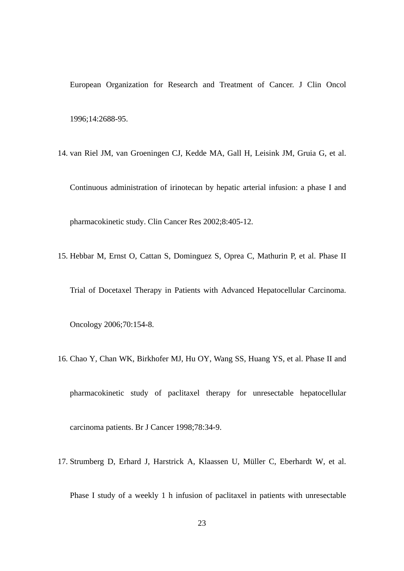European Organization for Research and Treatment of Cancer. J Clin Oncol 1996;14:2688-95.

- 14. [van Riel JM, van Groeningen CJ, Kedde MA, Gall H, Leisink JM, Gruia G, et al.](http://www.ncbi.nlm.nih.gov/pubmed/11839656?ordinalpos=94&itool=EntrezSystem2.PEntrez.Pubmed.Pubmed_ResultsPanel.Pubmed_RVDocSum) Continuous administration of irinotecan by hepatic arterial infusion: a phase I and pharmacokinetic study. Clin Cancer Res 2002;8:405-12.
- 15. Hebbar M, Ernst O, Cattan S, Dominguez S, Oprea C, Mathurin P, et al. Phase II

Trial of Docetaxel Therapy in Patients with Advanced Hepatocellular Carcinoma.

Oncology 2006;70:154-8.

16. [Chao Y](http://www.ncbi.nlm.nih.gov/sites/entrez?Db=pubmed&Cmd=Search&Term=%22Chao%20Y%22%5BAuthor%5D&itool=EntrezSystem2.PEntrez.Pubmed.Pubmed_ResultsPanel.Pubmed_DiscoveryPanel.Pubmed_RVAbstractPlus), [Chan WK](http://www.ncbi.nlm.nih.gov/sites/entrez?Db=pubmed&Cmd=Search&Term=%22Chan%20WK%22%5BAuthor%5D&itool=EntrezSystem2.PEntrez.Pubmed.Pubmed_ResultsPanel.Pubmed_DiscoveryPanel.Pubmed_RVAbstractPlus), [Birkhofer MJ](http://www.ncbi.nlm.nih.gov/sites/entrez?Db=pubmed&Cmd=Search&Term=%22Birkhofer%20MJ%22%5BAuthor%5D&itool=EntrezSystem2.PEntrez.Pubmed.Pubmed_ResultsPanel.Pubmed_DiscoveryPanel.Pubmed_RVAbstractPlus), [Hu OY,](http://www.ncbi.nlm.nih.gov/sites/entrez?Db=pubmed&Cmd=Search&Term=%22Hu%20OY%22%5BAuthor%5D&itool=EntrezSystem2.PEntrez.Pubmed.Pubmed_ResultsPanel.Pubmed_DiscoveryPanel.Pubmed_RVAbstractPlus) [Wang SS,](http://www.ncbi.nlm.nih.gov/sites/entrez?Db=pubmed&Cmd=Search&Term=%22Wang%20SS%22%5BAuthor%5D&itool=EntrezSystem2.PEntrez.Pubmed.Pubmed_ResultsPanel.Pubmed_DiscoveryPanel.Pubmed_RVAbstractPlus) [Huang YS,](http://www.ncbi.nlm.nih.gov/sites/entrez?Db=pubmed&Cmd=Search&Term=%22Huang%20YS%22%5BAuthor%5D&itool=EntrezSystem2.PEntrez.Pubmed.Pubmed_ResultsPanel.Pubmed_DiscoveryPanel.Pubmed_RVAbstractPlus) et al. Phase II and

pharmacokinetic study of paclitaxel therapy for unresectable hepatocellular

carcinoma patients. Br J Cancer 1998;78:34-9.

17. [Strumberg D](http://www.ncbi.nlm.nih.gov/sites/entrez?Db=pubmed&Cmd=Search&Term=%22Strumberg%20D%22%5BAuthor%5D&itool=EntrezSystem2.PEntrez.Pubmed.Pubmed_ResultsPanel.Pubmed_DiscoveryPanel.Pubmed_RVAbstractPlus), [Erhard J,](http://www.ncbi.nlm.nih.gov/sites/entrez?Db=pubmed&Cmd=Search&Term=%22Erhard%20J%22%5BAuthor%5D&itool=EntrezSystem2.PEntrez.Pubmed.Pubmed_ResultsPanel.Pubmed_DiscoveryPanel.Pubmed_RVAbstractPlus) [Harstrick A,](http://www.ncbi.nlm.nih.gov/sites/entrez?Db=pubmed&Cmd=Search&Term=%22Harstrick%20A%22%5BAuthor%5D&itool=EntrezSystem2.PEntrez.Pubmed.Pubmed_ResultsPanel.Pubmed_DiscoveryPanel.Pubmed_RVAbstractPlus) [Klaassen U](http://www.ncbi.nlm.nih.gov/sites/entrez?Db=pubmed&Cmd=Search&Term=%22Klaassen%20U%22%5BAuthor%5D&itool=EntrezSystem2.PEntrez.Pubmed.Pubmed_ResultsPanel.Pubmed_DiscoveryPanel.Pubmed_RVAbstractPlus), [Müller C](http://www.ncbi.nlm.nih.gov/sites/entrez?Db=pubmed&Cmd=Search&Term=%22M%C3%BCller%20C%22%5BAuthor%5D&itool=EntrezSystem2.PEntrez.Pubmed.Pubmed_ResultsPanel.Pubmed_DiscoveryPanel.Pubmed_RVAbstractPlus), [Eberhardt W,](http://www.ncbi.nlm.nih.gov/sites/entrez?Db=pubmed&Cmd=Search&Term=%22Eberhardt%20W%22%5BAuthor%5D&itool=EntrezSystem2.PEntrez.Pubmed.Pubmed_ResultsPanel.Pubmed_DiscoveryPanel.Pubmed_RVAbstractPlus) et al.

Phase I study of a weekly 1 h infusion of paclitaxel in patients with unresectable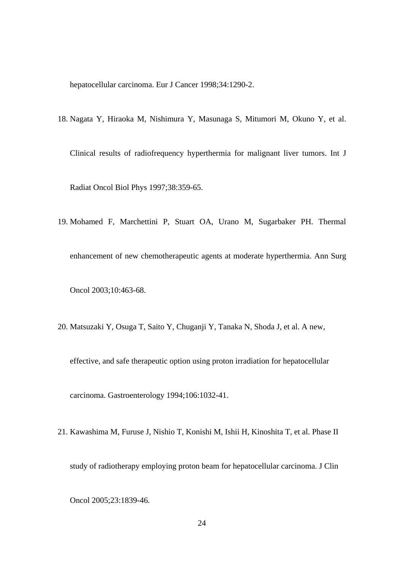hepatocellular carcinoma. Eur J Cancer 1998;34:1290-2.

- 18. [Nagata Y, Hiraoka M, Nishimura Y, Masunaga S, Mitumori M, Okuno Y, et al.](http://www.ncbi.nlm.nih.gov/pubmed/9226324?ordinalpos=27&itool=EntrezSystem2.PEntrez.Pubmed.Pubmed_ResultsPanel.Pubmed_RVDocSum)
	- Clinical results of radiofrequency hyperthermia for malignant liver tumors. Int J Radiat Oncol Biol Phys 1997;38:359-65.
- 19. [Mohamed F, Marchettini P, Stuart OA, Urano M, Sugarbaker PH.](http://www.ncbi.nlm.nih.gov/pubmed/12734097?ordinalpos=2&itool=EntrezSystem2.PEntrez.Pubmed.Pubmed_ResultsPanel.Pubmed_RVDocSum) Thermal enhancement of new chemotherapeutic agents at moderate hyperthermia. Ann Surg Oncol 2003;10:463-68.
- 20. Matsuzaki Y, Osuga T, Saito Y, Chuganji Y, Tanaka N, Shoda J, et al. [A new,](http://www.ncbi.nlm.nih.gov/pubmed/7511552?ordinalpos=20&itool=EntrezSystem2.PEntrez.Pubmed.Pubmed_ResultsPanel.Pubmed_DefaultReportPanel.Pubmed_RVDocSum)

[effective, and safe therapeutic option using proton irradiation for hepatocellular](http://www.ncbi.nlm.nih.gov/pubmed/7511552?ordinalpos=20&itool=EntrezSystem2.PEntrez.Pubmed.Pubmed_ResultsPanel.Pubmed_DefaultReportPanel.Pubmed_RVDocSum) 

[carcinoma.](http://www.ncbi.nlm.nih.gov/pubmed/7511552?ordinalpos=20&itool=EntrezSystem2.PEntrez.Pubmed.Pubmed_ResultsPanel.Pubmed_DefaultReportPanel.Pubmed_RVDocSum) Gastroenterology 1994;106:1032-41.

21. Kawashima M, Furuse J, Nishio T, Konishi M, Ishii H, Kinoshita T, et al. [Phase II](http://www.ncbi.nlm.nih.gov/pubmed/15774777?ordinalpos=17&itool=EntrezSystem2.PEntrez.Pubmed.Pubmed_ResultsPanel.Pubmed_DefaultReportPanel.Pubmed_RVDocSum)  [study of radiotherapy employing proton beam for hepatocellular carcinoma.](http://www.ncbi.nlm.nih.gov/pubmed/15774777?ordinalpos=17&itool=EntrezSystem2.PEntrez.Pubmed.Pubmed_ResultsPanel.Pubmed_DefaultReportPanel.Pubmed_RVDocSum) J Clin

Oncol 2005;23:1839-46.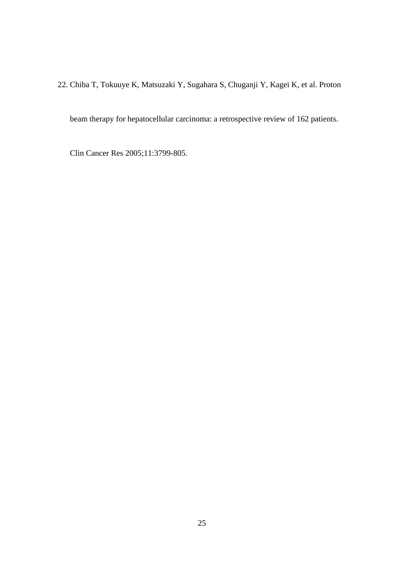22. Chiba T, Tokuuye K, Matsuzaki Y, Sugahara S, Chuganji Y, Kagei K, et al. [Proton](http://www.ncbi.nlm.nih.gov/pubmed/15897579?ordinalpos=14&itool=EntrezSystem2.PEntrez.Pubmed.Pubmed_ResultsPanel.Pubmed_DefaultReportPanel.Pubmed_RVDocSum) 

[beam therapy for hepatocellular carcinoma: a retrospective review of 162 patients.](http://www.ncbi.nlm.nih.gov/pubmed/15897579?ordinalpos=14&itool=EntrezSystem2.PEntrez.Pubmed.Pubmed_ResultsPanel.Pubmed_DefaultReportPanel.Pubmed_RVDocSum)

Clin Cancer Res 2005;11:3799-805.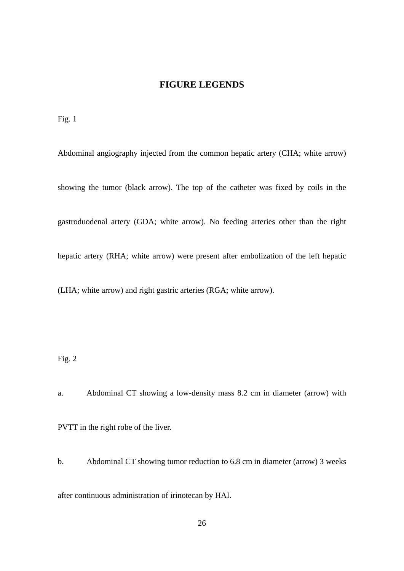## **FIGURE LEGENDS**

Fig. 1

Abdominal angiography injected from the common hepatic artery (CHA; white arrow)

showing the tumor (black arrow). The top of the catheter was fixed by coils in the

gastroduodenal artery (GDA; white arrow). No feeding arteries other than the right

hepatic artery (RHA; white arrow) were present after embolization of the left hepatic

(LHA; white arrow) and right gastric arteries (RGA; white arrow).

Fig. 2

a. Abdominal CT showing a low-density mass 8.2 cm in diameter (arrow) with PVTT in the right robe of the liver.

b. Abdominal CT showing tumor reduction to 6.8 cm in diameter (arrow) 3 weeks

after continuous administration of irinotecan by HAI.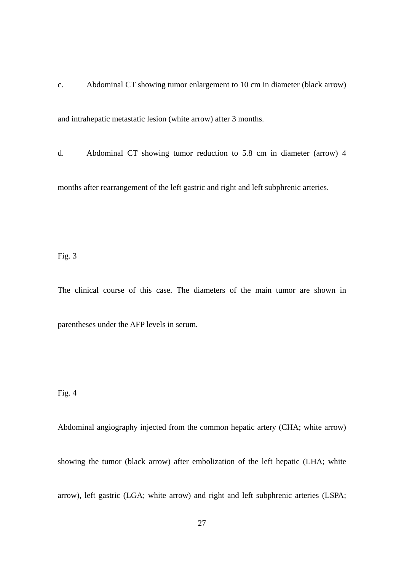c. Abdominal CT showing tumor enlargement to 10 cm in diameter (black arrow)

and intrahepatic metastatic lesion (white arrow) after 3 months.

d. Abdominal CT showing tumor reduction to 5.8 cm in diameter (arrow) 4

months after rearrangement of the left gastric and right and left subphrenic arteries.

Fig. 3

The clinical course of this case. The diameters of the main tumor are shown in parentheses under the AFP levels in serum.

#### Fig. 4

Abdominal angiography injected from the common hepatic artery (CHA; white arrow)

showing the tumor (black arrow) after embolization of the left hepatic (LHA; white

arrow), left gastric (LGA; white arrow) and right and left subphrenic arteries (LSPA;